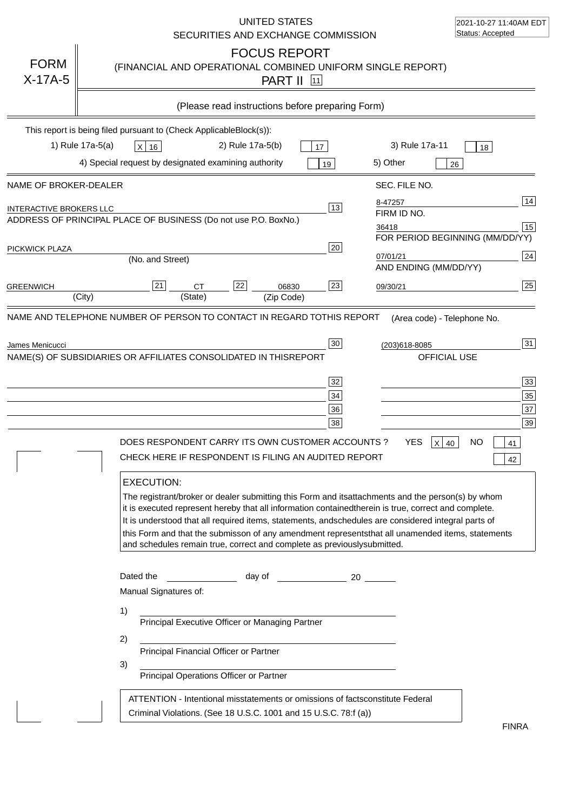|                                | UNITED STATES<br>SECURITIES AND EXCHANGE COMMISSION                                                                                                                                                                                                                                                                                                                                                                                                                                                                                                                                                                                                                                 | 2021-10-27 11:40AM EDT<br>Status: Accepted                                                                                                         |  |  |
|--------------------------------|-------------------------------------------------------------------------------------------------------------------------------------------------------------------------------------------------------------------------------------------------------------------------------------------------------------------------------------------------------------------------------------------------------------------------------------------------------------------------------------------------------------------------------------------------------------------------------------------------------------------------------------------------------------------------------------|----------------------------------------------------------------------------------------------------------------------------------------------------|--|--|
| <b>FORM</b><br>$X-17A-5$       | <b>FOCUS REPORT</b><br>(FINANCIAL AND OPERATIONAL COMBINED UNIFORM SINGLE REPORT)<br><b>PART II</b> 11                                                                                                                                                                                                                                                                                                                                                                                                                                                                                                                                                                              |                                                                                                                                                    |  |  |
|                                | (Please read instructions before preparing Form)                                                                                                                                                                                                                                                                                                                                                                                                                                                                                                                                                                                                                                    |                                                                                                                                                    |  |  |
|                                | This report is being filed pursuant to (Check Applicable<br>$Block(s)$ :<br>1) Rule 17a-5(a)<br>2) Rule 17a-5(b)<br>3) Rule 17a-11<br>X 16<br>17                                                                                                                                                                                                                                                                                                                                                                                                                                                                                                                                    | 18                                                                                                                                                 |  |  |
|                                | 4) Special request by designated examining authority<br>5) Other<br>19                                                                                                                                                                                                                                                                                                                                                                                                                                                                                                                                                                                                              | 26                                                                                                                                                 |  |  |
| NAME OF BROKER-DEALER          | SEC. FILE NO.                                                                                                                                                                                                                                                                                                                                                                                                                                                                                                                                                                                                                                                                       |                                                                                                                                                    |  |  |
| <b>INTERACTIVE BROKERS LLC</b> | 8-47257<br>13<br>FIRM ID NO.<br>ADDRESS OF PRINCIPAL PLACE OF BUSINESS (Do not use P.O. Box<br>No.)<br>36418                                                                                                                                                                                                                                                                                                                                                                                                                                                                                                                                                                        | 14<br>15                                                                                                                                           |  |  |
| PICKWICK PLAZA                 | 20<br>07/01/21<br>(No. and Street)<br>AND ENDING (MM/DD/YY)                                                                                                                                                                                                                                                                                                                                                                                                                                                                                                                                                                                                                         | FOR PERIOD BEGINNING (MM/DD/YY)<br>24                                                                                                              |  |  |
| <b>GREENWICH</b>               | 22<br>23<br>21<br><b>CT</b><br>06830<br>09/30/21<br>(State)<br>(City)<br>(Zip Code)                                                                                                                                                                                                                                                                                                                                                                                                                                                                                                                                                                                                 | 25                                                                                                                                                 |  |  |
|                                | NAME(S) OF SUBSIDIARIES OR AFFILIATES CONSOLIDATED IN THIS<br><b>REPORT</b><br>32<br>34<br>36<br>38<br>DOES RESPONDENT CARRY ITS OWN CUSTOMER ACCOUNTS ?<br>YES.<br>CHECK HERE IF RESPONDENT IS FILING AN AUDITED REPORT<br><b>EXECUTION:</b><br>The registrant/broker or dealer submitting this Form and its<br>it is executed represent hereby that all information contained<br>therein is true, correct and complete.<br>It is understood that all required items, statements, and<br>schedules are considered integral parts of<br>this Form and that the submisson of any amendment represents<br>and schedules remain true, correct and complete as previously<br>submitted. | OFFICIAL USE<br>33<br>35<br>37<br>39<br>x<br>NΟ<br>40<br>41<br>42<br>attachments and the person(s) by whom<br>that all unamended items, statements |  |  |
|                                | Dated the<br>day of<br>20<br>Manual Signatures of:<br>1)<br>Principal Executive Officer or Managing Partner<br>2)<br>Principal Financial Officer or Partner<br>3)<br>Principal Operations Officer or Partner<br>ATTENTION - Intentional misstatements or omissions of facts<br>constitute Federal<br>Criminal Violations. (See 18 U.S.C. 1001 and 15 U.S.C. 78:f (a)                                                                                                                                                                                                                                                                                                                |                                                                                                                                                    |  |  |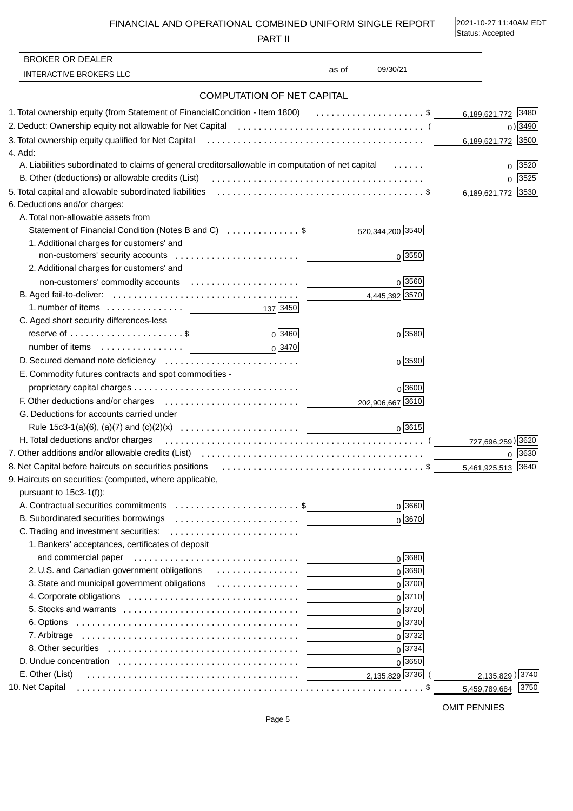FINANCIAL AND OPERATIONAL COMBINED UNIFORM SINGLE REPORT

PART II

2021-10-27 11:40AM EDT Status: Accepted

|         | <b>BROKER OR DEALER</b>                                                                                                                                                                                                        |                               |                        |
|---------|--------------------------------------------------------------------------------------------------------------------------------------------------------------------------------------------------------------------------------|-------------------------------|------------------------|
|         | <b>INTERACTIVE BROKERS LLC</b>                                                                                                                                                                                                 | 09/30/21<br>as of the control |                        |
|         | <b>COMPUTATION OF NET CAPITAL</b>                                                                                                                                                                                              |                               |                        |
|         | 1. Total ownership equity (from Statement of Financial Condition - Item 1800) \$ 6,189,621,772 3480                                                                                                                            |                               |                        |
|         | 2. Deduct: Ownership equity not allowable for Net Capital (allocation content content content of the Capital (                                                                                                                 |                               | $0)$ 3490              |
|         |                                                                                                                                                                                                                                |                               | 6,189,621,772 3500     |
| 4. Add: |                                                                                                                                                                                                                                |                               |                        |
|         | A. Liabilities subordinated to claims of general creditors allowable in computation of net capital                                                                                                                             |                               | 3520<br>$\mathbf 0$    |
|         |                                                                                                                                                                                                                                |                               | 0 3525                 |
|         | 5. Total capital and allowable subordinated liabilities (all contained contained and subset of \$                                                                                                                              |                               | 6,189,621,772 3530     |
|         | 6. Deductions and/or charges:                                                                                                                                                                                                  |                               |                        |
|         | A. Total non-allowable assets from                                                                                                                                                                                             |                               |                        |
|         | Statement of Financial Condition (Notes B and C) \$ 520,344,200 5340                                                                                                                                                           |                               |                        |
|         | 1. Additional charges for customers' and                                                                                                                                                                                       |                               |                        |
|         |                                                                                                                                                                                                                                | $0\sqrt{3550}$                |                        |
|         | 2. Additional charges for customers' and                                                                                                                                                                                       |                               |                        |
|         |                                                                                                                                                                                                                                | $0\sqrt{3560}$                |                        |
|         |                                                                                                                                                                                                                                | 4,445,392 3570                |                        |
|         | 1. number of items $\ldots \ldots \ldots \ldots$ 137 3450                                                                                                                                                                      |                               |                        |
|         | C. Aged short security differences-less                                                                                                                                                                                        |                               |                        |
|         | $0^{3460}$<br>reserve of $\dots\dots\dots\dots\dots\dots\dots\dots$ \$                                                                                                                                                         | $0\sqrt{3580}$                |                        |
|         | $0\sqrt{3470}$                                                                                                                                                                                                                 |                               |                        |
|         |                                                                                                                                                                                                                                | $0\sqrt{3590}$                |                        |
|         | E. Commodity futures contracts and spot commodities -                                                                                                                                                                          |                               |                        |
|         |                                                                                                                                                                                                                                | 0 3600                        |                        |
|         | F. Other deductions and/or charges expansion contracts are the contracted as a contract of the control of the contract of the control of the control of the control of the control of the control of the control of the contro |                               |                        |
|         | G. Deductions for accounts carried under                                                                                                                                                                                       |                               |                        |
|         |                                                                                                                                                                                                                                | $0\sqrt{3615}$                |                        |
|         | H. Total deductions and/or charges expansion of the contract of the contract of the contract of the contract of the contract of the contract of the contract of the contract of the contract of the contract of the contract o |                               |                        |
|         |                                                                                                                                                                                                                                |                               | $0 \;   \; 3630$       |
|         |                                                                                                                                                                                                                                |                               | 5,461,925,513 3640     |
|         | 9. Haircuts on securities: (computed, where applicable,                                                                                                                                                                        |                               |                        |
|         | pursuant to $15c3-1(f)$ :                                                                                                                                                                                                      |                               |                        |
|         | A. Contractual securities commitments \$                                                                                                                                                                                       | $0\sqrt{3660}$                |                        |
|         | B. Subordinated securities borrowings                                                                                                                                                                                          | 0 3670                        |                        |
|         | 1. Bankers' acceptances, certificates of deposit                                                                                                                                                                               |                               |                        |
|         | and commercial paper (educational commercial paper)                                                                                                                                                                            | $0\sqrt{3680}$                |                        |
|         |                                                                                                                                                                                                                                | $0\sqrt{3690}$                |                        |
|         |                                                                                                                                                                                                                                | $0\sqrt{3700}$                |                        |
|         |                                                                                                                                                                                                                                | 0 3710                        |                        |
|         |                                                                                                                                                                                                                                | 0 3720                        |                        |
|         |                                                                                                                                                                                                                                | $0\sqrt{3730}$                |                        |
|         |                                                                                                                                                                                                                                | $0\sqrt{3732}$                |                        |
|         |                                                                                                                                                                                                                                | $0\sqrt{3734}$                |                        |
|         |                                                                                                                                                                                                                                | $0\sqrt{3650}$                |                        |
|         | E. Other (List)                                                                                                                                                                                                                | 2,135,829 3736                | 2,135,829) 3740        |
|         | 10. Net Capital                                                                                                                                                                                                                |                               | 3750 <br>5,459,789,684 |
|         |                                                                                                                                                                                                                                |                               |                        |

OMIT PENNIES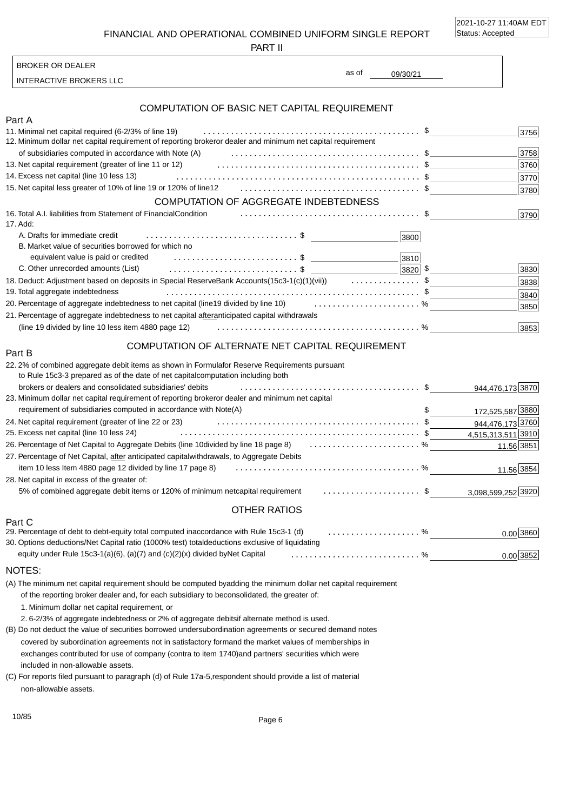2021-10-27 11:40AM EDT Status: Accepted

0.00 3852

FINANCIAL AND OPERATIONAL COMBINED UNIFORM SINGLE REPORT

PART II

INTERACTIVE BROKERS LLC BROKER OR DEALER

# as of

09/30/21

| COMPUTATION OF BASIC NET CAPITAL REQUIREMENT                                                                                                                                                                                                  |      |
|-----------------------------------------------------------------------------------------------------------------------------------------------------------------------------------------------------------------------------------------------|------|
| Part A                                                                                                                                                                                                                                        |      |
| 11. Minimal net capital required (6-2/3% of line 19)                                                                                                                                                                                          | 3756 |
| 12. Minimum dollar net capital requirement of reporting broker or dealer and minimum net capital requirement                                                                                                                                  |      |
| of subsidiaries computed in accordance with Note (A) expansion contained the substantial service of subsidiaries computed in accordance with Note (A)                                                                                         | 3758 |
| 13. Net capital requirement (greater of line 11 or 12) expansive example and the capital requirement (greater of line 11 or 12)                                                                                                               | 3760 |
| 14. Excess net capital (line 10 less 13)                                                                                                                                                                                                      | 3770 |
|                                                                                                                                                                                                                                               | 3780 |
| COMPUTATION OF AGGREGATE INDEBTEDNESS                                                                                                                                                                                                         |      |
| 16. Total A.I. liabilities from Statement of Financial Condition<br>17. Add:                                                                                                                                                                  | 3790 |
| A. Drafts for immediate credit<br>3800                                                                                                                                                                                                        |      |
| B. Market value of securities borrowed for which no                                                                                                                                                                                           |      |
| equivalent value is paid or credited expansion of the set of the set of the set of the set of the set of the set of the set of the set of the set of the set of the set of the set of the set of the set of the set of the set<br>3810        |      |
| C. Other unrecorded amounts (List) example and contain a series of the series of the series of the series of the series of the series of the series of the series of the series of the series of the series of the series of t<br>$ 3820 $ \$ | 3830 |
| 18. Deduct: Adjustment based on deposits in Special Reserve Bank Accounts (15c3-1(c)(1)(vii)) \$                                                                                                                                              | 3838 |
| 19. Total aggregate indebtedness                                                                                                                                                                                                              | 3840 |
| 20. Percentage of aggregate indebtedness to net capital (line 19 divided by line 10)  %                                                                                                                                                       | 3850 |
| 21. Percentage of aggregate indebtedness to net capital after<br>anticipated capital withdrawals                                                                                                                                              |      |
| (line 19 divided by line 10 less item 4880 page 12)                                                                                                                                                                                           | 3853 |
| COMPUTATION OF ALTERNATE NET CAPITAL REQUIREMENT<br>Part B                                                                                                                                                                                    |      |
| 22.2% of combined aggregate debit items as shown in Formula for Reserve Requirements pursuant<br>to Rule 15c3-3 prepared as of the date of net capital computation including both                                                             |      |

| to Kule Toco-o prepared as of the date of het capital computation including both                      |                    |
|-------------------------------------------------------------------------------------------------------|--------------------|
| brokers or dealers and consolidated subsidiaries' debits                                              | 944,476,173 3870   |
| or dealer and minimum net capital<br>23. Minimum dollar net capital requirement of reporting broker   |                    |
| requirement of subsidiaries computed in accordance with Note(A)                                       | 172,525,587 3880   |
| 24. Net capital requirement (greater of line 22 or 23)                                                | 944,476,173 3760   |
| 25. Excess net capital (line 10 less 24)                                                              | 4,515,313,511 3910 |
| 26. Percentage of Net Capital to Aggregate Debits (line 10 divided by line 18 page 8)  %              | 11.56 3851         |
| withdrawals, to Aggregate Debits<br>27. Percentage of Net Capital, after anticipated capital          |                    |
| item 10 less Item 4880 page 12 divided by line 17 page 8)                                             | 11.56 3854         |
| 28. Net capital in excess of the greater of:                                                          |                    |
| capital requirement \$<br>5% of combined aggregate debit items or 120% of minimum net                 | 3,098,599,252 3920 |
| <b>OTHER RATIOS</b>                                                                                   |                    |
| Part C                                                                                                |                    |
| 29. Percentage of debt to debt-equity total computed in<br>accordance with Rule 15c3-1 (d) $\ldots$ % | $0.00$ 3860        |

| 30. Options deductions/Net Capital ratio (1000% test) total deductions exclusive of liquidating |  |
|-------------------------------------------------------------------------------------------------|--|
|                                                                                                 |  |
| _____                                                                                           |  |

#### NOTES:

(A) The minimum net capital requirement should be computed by adding the minimum dollar net capital requirement of the reporting broker dealer and, for each subsidiary to be consolidated, the greater of:

1. Minimum dollar net capital requirement, or

2. 6-2/3% of aggregate indebtedness or 2% of aggregate debits if alternate method is used.

included in non-allowable assets. (B) Do not deduct the value of securities borrowed under subordination agreements or secured demand notes covered by subordination agreements not in satisfactory form and the market values of memberships in exchanges contributed for use of company (contra to item 1740) and partners' securities which were

non-allowable assets. (C) For reports filed pursuant to paragraph (d) of Rule 17a-5, respondent should provide a list of material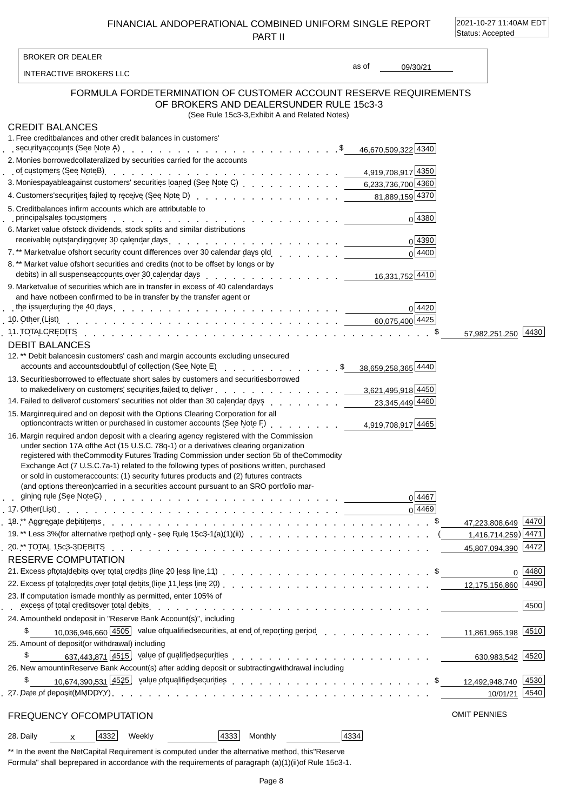FINANCIAL AND OPERATIONAL COMBINED UNIFORM SINGLE REPORT PART II

2021-10-27 11:40AM EDT Status: Accepted

 $\overline{1}$ 

| <b>BROKER OR DEALER</b>                                                    |                                                                                                                                                                                                                                                                                                                                                                                                                                                                                                                                                                    |       |                    |                     |                                  |
|----------------------------------------------------------------------------|--------------------------------------------------------------------------------------------------------------------------------------------------------------------------------------------------------------------------------------------------------------------------------------------------------------------------------------------------------------------------------------------------------------------------------------------------------------------------------------------------------------------------------------------------------------------|-------|--------------------|---------------------|----------------------------------|
| INTERACTIVE BROKERS LLC                                                    |                                                                                                                                                                                                                                                                                                                                                                                                                                                                                                                                                                    | as of | 09/30/21           |                     |                                  |
| <b>FORMULA FOR</b>                                                         | DETERMINATION OF CUSTOMER ACCOUNT RESERVE REQUIREMENTS<br>OF BROKERS AND DEALERS UNDER RULE 15c3-3<br>(See Rule 15c3-3, Exhibit A and Related Notes)                                                                                                                                                                                                                                                                                                                                                                                                               |       |                    |                     |                                  |
| <b>CREDIT BALANCES</b>                                                     |                                                                                                                                                                                                                                                                                                                                                                                                                                                                                                                                                                    |       |                    |                     |                                  |
| 1. Free credit balances and other credit balances in customers'            |                                                                                                                                                                                                                                                                                                                                                                                                                                                                                                                                                                    |       |                    |                     |                                  |
|                                                                            |                                                                                                                                                                                                                                                                                                                                                                                                                                                                                                                                                                    |       |                    |                     |                                  |
| 2. Monies borrowed collateralized by securities carried for the accounts   |                                                                                                                                                                                                                                                                                                                                                                                                                                                                                                                                                                    |       |                    |                     |                                  |
|                                                                            | of customers (See Note B) $\ldots$ $\ldots$ $\ldots$ $\ldots$ $\ldots$ $\ldots$ $\ldots$ $\ldots$ $\ldots$ $\ldots$ $\ldots$ $\ldots$ $\ldots$ $\ldots$ $\ldots$ $\ldots$ $\ldots$ $\ldots$ $\ldots$ $\ldots$ $\ldots$ $\ldots$ $\ldots$ $\ldots$ $\ldots$ $\ldots$ $\ldots$ $\ldots$ $\ldots$ $\ldots$ $\ldots$ $\ldots$ $\ld$                                                                                                                                                                                                                                    |       |                    |                     |                                  |
|                                                                            | 3. Monies payable against customers' securities loaned (See Note C) et al. al. al. al. al. al. 6,233,736,700 4360                                                                                                                                                                                                                                                                                                                                                                                                                                                  |       |                    |                     |                                  |
|                                                                            | 4. Customers' securities failed to receive (See Note D) enter a contract of the customers' securities failed to receive (See Note D) enter a contract of the contract of 81,889,159 4370                                                                                                                                                                                                                                                                                                                                                                           |       |                    |                     |                                  |
| 5. Credit balances in firm accounts which are attributable to              |                                                                                                                                                                                                                                                                                                                                                                                                                                                                                                                                                                    |       | 0 4380             |                     |                                  |
| 6. Market value of stock dividends, stock splits and similar distributions |                                                                                                                                                                                                                                                                                                                                                                                                                                                                                                                                                                    |       |                    |                     |                                  |
|                                                                            | receivable outstanding over 30 calendar days enter and contained a series and contained a series of the contain                                                                                                                                                                                                                                                                                                                                                                                                                                                    |       | 0 4390             |                     |                                  |
|                                                                            | 7.** Market value of short security count differences over 30 calendar days old contact contact contact to the                                                                                                                                                                                                                                                                                                                                                                                                                                                     |       | 0 4400             |                     |                                  |
|                                                                            | 8. ** Market value of short securities and credits (not to be offset by longs or by                                                                                                                                                                                                                                                                                                                                                                                                                                                                                |       |                    |                     |                                  |
|                                                                            |                                                                                                                                                                                                                                                                                                                                                                                                                                                                                                                                                                    |       |                    |                     |                                  |
| and have not been confirmed to be in transfer by the transfer agent or     | 9. Market value of securities which are in transfer in excess of 40 calendar days                                                                                                                                                                                                                                                                                                                                                                                                                                                                                  |       |                    |                     |                                  |
|                                                                            | the issuer during the 40 days enter the set of the set of the set of the set of the set of the set of the set of the set of the set of the set of the set of the set of the set of the set of the set of the set of the set o                                                                                                                                                                                                                                                                                                                                      |       | 0 4420             |                     |                                  |
|                                                                            | 10. Other (List) run and state of the state of the state of the state of the state of the state of the state of the state of the state of the state of the state of the state of the state of the state of the state of the st                                                                                                                                                                                                                                                                                                                                     |       |                    |                     |                                  |
|                                                                            | 11. TOTAL CREDITS (Alberta Alberta Alberta Alberta Alberta Alberta Alberta Alberta Alberta Alberta Alberta Alb                                                                                                                                                                                                                                                                                                                                                                                                                                                     |       |                    |                     | 57,982,251,250 4430              |
| <b>DEBIT BALANCES</b>                                                      |                                                                                                                                                                                                                                                                                                                                                                                                                                                                                                                                                                    |       |                    |                     |                                  |
|                                                                            | 12.** Debit balances in customers' cash and margin accounts excluding unsecured                                                                                                                                                                                                                                                                                                                                                                                                                                                                                    |       |                    |                     |                                  |
|                                                                            | accounts and accounts doubtful of collection (See Note E) enterprised and counts and accounts and accounts doubtful of collection (See Note E) enterprised and accounts and accounts doubtful of collection (See Note E)                                                                                                                                                                                                                                                                                                                                           |       |                    |                     |                                  |
|                                                                            | 13. Securities borrowed to effectuate short sales by customers and securities borrowed<br>to make delivery on customers' securities failed to deliver enterprised by the case of the state of the deliver                                                                                                                                                                                                                                                                                                                                                          |       |                    |                     |                                  |
|                                                                            | 14. Failed to deliver of customers' securities not older than 30 calendar days                                                                                                                                                                                                                                                                                                                                                                                                                                                                                     |       | 23,345,449 4460    |                     |                                  |
|                                                                            | 15. Margin required and on deposit with the Options Clearing Corporation for all                                                                                                                                                                                                                                                                                                                                                                                                                                                                                   |       |                    |                     |                                  |
|                                                                            | 16. Margin required and on deposit with a clearing agency registered with the Commission<br>under section 17A of the Act (15 U.S.C. 78q-1) or a derivatives clearing organization<br>registered with the Commodity Futures Trading Commission under section 5b of the Commodity<br>Exchange Act (7 U.S.C. 7a-1) related to the following types of positions written, purchased<br>or sold in customer accounts: (1) security futures products and (2) futures contracts<br>(and options thereon) carried in a securities account pursuant to an SRO portfolio mar- |       | 0 4467<br>$0$ 4469 |                     |                                  |
|                                                                            |                                                                                                                                                                                                                                                                                                                                                                                                                                                                                                                                                                    |       |                    |                     | 47,223,808,649 4470              |
|                                                                            | 19.** Less 3% (for alternative method only - see Rule 15c3-1(a)(1)(ii)) $\ldots$ (                                                                                                                                                                                                                                                                                                                                                                                                                                                                                 |       |                    |                     | $1,416,714,259$ <sup>24471</sup> |
|                                                                            |                                                                                                                                                                                                                                                                                                                                                                                                                                                                                                                                                                    |       |                    |                     |                                  |
| <b>RESERVE COMPUTATION</b>                                                 |                                                                                                                                                                                                                                                                                                                                                                                                                                                                                                                                                                    |       |                    |                     |                                  |
|                                                                            | 21. Excess of total debits over total credits (line 20 less line 11) entitled and contained a series of the series of series and series of the series of the series of the series of the series of the series of the series of                                                                                                                                                                                                                                                                                                                                     |       |                    |                     | $0 \mid 4480$                    |
| 23. If computation is made monthly as permitted, enter 105% of             |                                                                                                                                                                                                                                                                                                                                                                                                                                                                                                                                                                    |       |                    |                     |                                  |
|                                                                            | excess of total credits over total debits with a state of the state of the state of total debits with the state of the state of the state of the state of the state of the state of the state of the state of the state of the                                                                                                                                                                                                                                                                                                                                     |       |                    |                     | 4500                             |
| 24. Amount held on deposit in "Reserve Bank Account(s)", including         |                                                                                                                                                                                                                                                                                                                                                                                                                                                                                                                                                                    |       |                    |                     |                                  |
| \$                                                                         | 10.036.946.660 4505 value of qualified securities, at end of reporting period 11,861,965,198 4510                                                                                                                                                                                                                                                                                                                                                                                                                                                                  |       |                    |                     |                                  |
| 25. Amount of deposit (or withdrawal) including                            |                                                                                                                                                                                                                                                                                                                                                                                                                                                                                                                                                                    |       |                    |                     |                                  |
| \$                                                                         | 637,443,871 4515 value of qualified securities extending to the control of the control of the securities extending to the control of the control of the control of the control of the control of the control of the control of                                                                                                                                                                                                                                                                                                                                     |       |                    |                     | 630,983,542 4520                 |
|                                                                            | 26. New amount in Reserve Bank Account(s) after adding deposit or subtracting withdrawal including                                                                                                                                                                                                                                                                                                                                                                                                                                                                 |       |                    |                     |                                  |
| \$                                                                         | 10,674,390,531 4525 value of qualified securities extending to the extended of the securities of the current control of the securities extending to the control of the securities of the control of the control of the securit                                                                                                                                                                                                                                                                                                                                     |       |                    |                     |                                  |
|                                                                            |                                                                                                                                                                                                                                                                                                                                                                                                                                                                                                                                                                    |       |                    |                     | 10/01/21 4540                    |
| FREQUENCY OF COMPUTATION                                                   |                                                                                                                                                                                                                                                                                                                                                                                                                                                                                                                                                                    |       |                    | <b>OMIT PENNIES</b> |                                  |
| $ 4332 $ Weekly<br>28. Daily<br>$\times$                                   | 4333 <br><b>Monthly</b>                                                                                                                                                                                                                                                                                                                                                                                                                                                                                                                                            | 4334  |                    |                     |                                  |
|                                                                            |                                                                                                                                                                                                                                                                                                                                                                                                                                                                                                                                                                    |       |                    |                     |                                  |

\*\* In the event the Net Capital Requirement is computed under the alternative method, this "Reserve Formula" shall be prepared in accordance with the requirements of paragraph (a)(1)(ii) of Rule 15c3-1.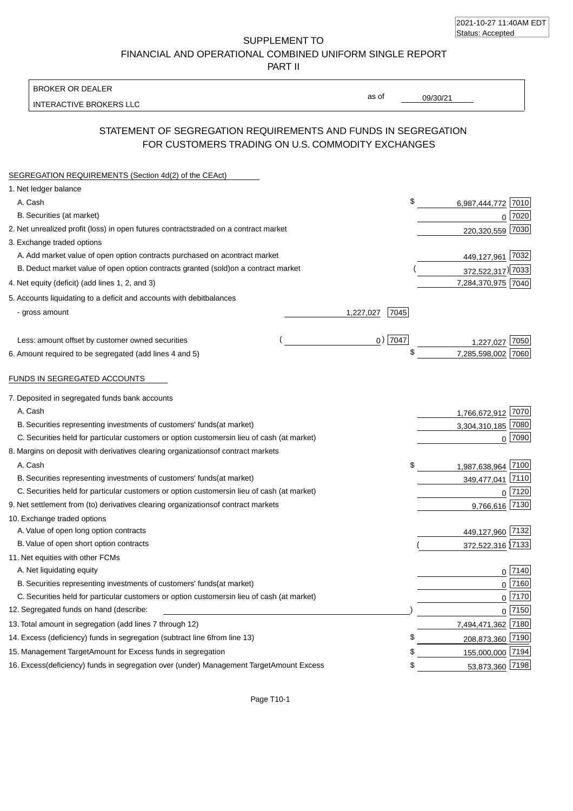| 2021-10-27 11:40AM EDT |  |
|------------------------|--|
| Status: Accepted       |  |

SUPPLEMENT TO FINANCIAL AND OPERATIONAL COMBINED UNIFORM SINGLE REPORT

PART II

### BROKER OR DEALER

INTERACTIVE BROKERS LLC

09/30/21

as of

## STATEMENT OF SEGREGATION REQUIREMENTS AND FUNDS IN SEGREGATION FOR CUSTOMERS TRADING ON U.S. COMMODITY EXCHANGES

| SEGREGATION REQUIREMENTS (Section 4d(2) of the CEAct)                                          |           |                    |              |
|------------------------------------------------------------------------------------------------|-----------|--------------------|--------------|
| 1. Net ledger balance                                                                          |           |                    |              |
| A. Cash                                                                                        | \$        | 6,987,444,772      | 7010         |
| B. Securities (at market)                                                                      |           | 0                  | 7020         |
| 2. Net unrealized profit (loss) in open futures contracts<br>traded on a contract market       |           | 220,320,559        | 7030         |
| 3. Exchange traded options                                                                     |           |                    |              |
| A. Add market value of open option contracts purchased on a<br>contract market                 |           | 449,127,961        | 7032         |
| B. Deduct market value of open option contracts granted (sold)<br>on a contract market         |           | 372,522,317) 7033  |              |
| 4. Net equity (deficit) (add lines 1, 2, and 3)                                                |           | 7,284,370,975 7040 |              |
| 5. Accounts liquidating to a deficit and accounts with debit<br>balances                       |           |                    |              |
| - gross amount<br>1,227,027                                                                    | 7045      |                    |              |
| Less: amount offset by customer owned securities                                               | $0)$ 7047 | 1.227.027          | 7050         |
| 6. Amount required to be segregated (add lines 4 and 5)                                        |           | 7,285,598,002      | 7060         |
| FUNDS IN SEGREGATED ACCOUNTS                                                                   |           |                    |              |
| 7. Deposited in segregated funds bank accounts                                                 |           |                    |              |
| A. Cash                                                                                        |           | 1,766,672,912 7070 |              |
| B. Securities representing investments of customers' funds<br>(at market)                      |           | 3,304,310,185 7080 |              |
| C. Securities held for particular customers or option customers<br>in lieu of cash (at market) |           |                    | $0$ 7090     |
| 8. Margins on deposit with derivatives clearing organizations<br>of contract markets           |           |                    |              |
| A. Cash                                                                                        | \$        | 1,987,638,964      | 7100         |
| B. Securities representing investments of customers' funds<br>(at market)                      |           | 349,477,041 7110   |              |
| C. Securities held for particular customers or option customers<br>in lieu of cash (at market) |           | $\Omega$           | 7120         |
| 9. Net settlement from (to) derivatives clearing organizations<br>of contract markets          |           | 9,766,616 7130     |              |
| 10. Exchange traded options                                                                    |           |                    |              |
| A. Value of open long option contracts                                                         |           | 449,127,960 7132   |              |
| B. Value of open short option contracts                                                        |           | 372,522,316 7133   |              |
| 11. Net equities with other FCMs                                                               |           |                    |              |
| A. Net liquidating equity                                                                      |           |                    | $0$   $7140$ |
| B. Securities representing investments of customers' funds<br>(at market)                      |           |                    | $0$ 7160     |
| C. Securities held for particular customers or option customers<br>in lieu of cash (at market) |           |                    | $0$ 7170     |
| 12. Segregated funds on hand (describe:                                                        |           |                    | 0 7150       |
| 13. Total amount in segregation (add lines 7 through 12)                                       |           | 7,494,471,362 7180 |              |
| 14. Excess (deficiency) funds in segregation (subtract line 6 from line 13)                    | \$        | 208,873,360 7190   |              |
| 15. Management Target Amount for Excess funds in segregation                                   | \$        | 155,000,000 7194   |              |
| 16. Excess (deficiency) funds in segregation over (under) Management Target Amount Excess      | \$        | 53,873,360 7198    |              |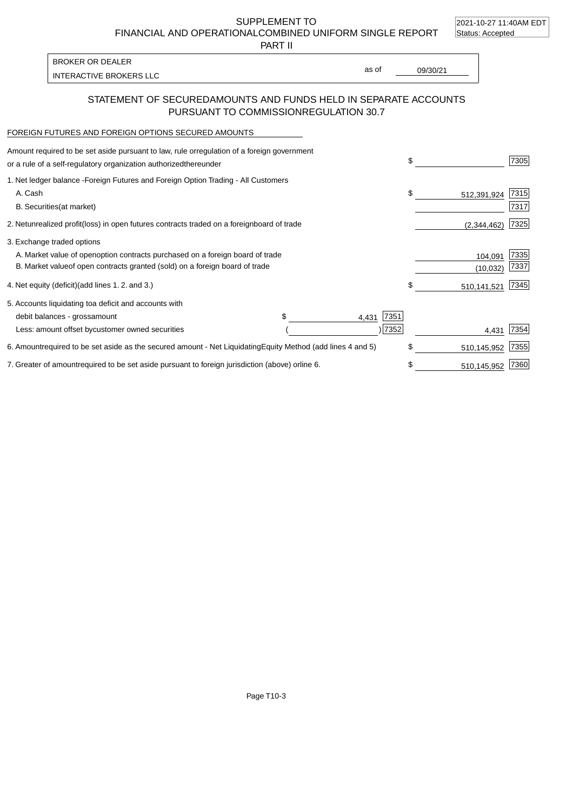2021-10-27 11:40AM EDT

SUPPLEMENT TO FINANCIAL AND OPERATIONAL COMBINED UNIFORM SINGLE REPORT Status: Accepted

PART II

| <b>BROKER OR DEALER</b> |       |          |
|-------------------------|-------|----------|
| INTERACTIVE BROKERS LLC | as of | 09/30/21 |

### STATEMENT OF SECURED AMOUNTS AND FUNDS HELD IN SEPARATE ACCOUNTS PURSUANT TO COMMISSION REGULATION 30.7

### FOREIGN FUTURES AND FOREIGN OPTIONS SECURED AMOUNTS

| Amount required to be set aside pursuant to law, rule or<br>regulation of a foreign government<br>or a rule of a self-regulatory organization authorized<br>thereunder |                                   | \$                | 7305 |
|------------------------------------------------------------------------------------------------------------------------------------------------------------------------|-----------------------------------|-------------------|------|
| 1. Net ledger balance - Foreign Futures and Foreign Option Trading - All Customers                                                                                     |                                   |                   |      |
| A. Cash                                                                                                                                                                |                                   | \$<br>512,391,924 | 7315 |
| <b>B.</b> Securities<br>(at market)                                                                                                                                    |                                   |                   | 7317 |
| unrealized profit (loss) in open futures contracts traded on a foreign<br>2. Net                                                                                       | board of trade                    | (2,344,462)       | 7325 |
| 3. Exchange traded options                                                                                                                                             |                                   |                   |      |
| A. Market value of open option contracts purchased on a foreign board of trade                                                                                         |                                   | 104,091           | 7335 |
| B. Market value of open contracts granted (sold) on a foreign board of trade                                                                                           |                                   | (10, 032)         | 7337 |
| 4. Net equity (deficit) (add lines 1.2. and 3.)                                                                                                                        |                                   | \$<br>510,141,521 | 7345 |
| 5. Accounts liquidating to a deficit and accounts with                                                                                                                 |                                   |                   |      |
| debit balances - gross<br>amount                                                                                                                                       | 7351<br>4,431                     |                   |      |
| Less: amount offset by customer owned securities                                                                                                                       | 7352                              | 4,431             | 7354 |
| 6. Amount required to be set aside as the secured amount - Net Liquidating                                                                                             | Equity Method (add lines 4 and 5) | \$<br>510,145,952 | 7355 |
| 7. Greater of amount required to be set aside pursuant to foreign jurisdiction (above) or line 6.                                                                      |                                   | \$<br>510,145,952 | 7360 |

Page T10-3